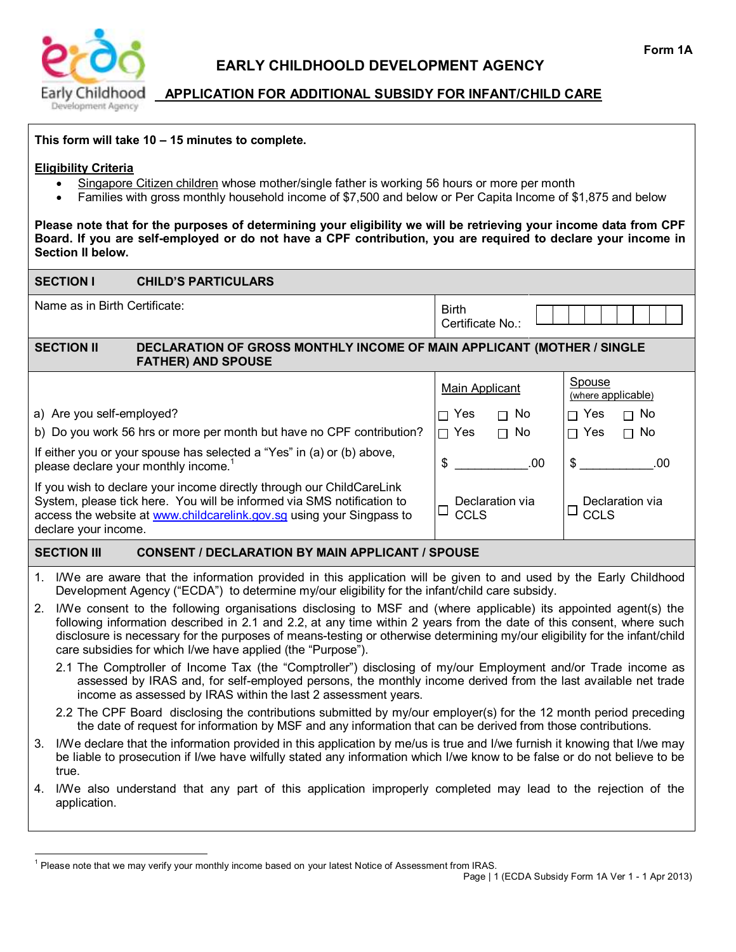

# **EARLY CHILDHOOLD DEVELOPMENT AGENCY**

## **APPLICATION FOR ADDITIONAL SUBSIDY FOR INFANT/CHILD CARE**

### **This form will take 10 – 15 minutes to complete.**

#### **Eligibility Criteria**

- Singapore Citizen children whose mother/single father is working 56 hours or more per month
- Families with gross monthly household income of \$7,500 and below or Per Capita Income of \$1,875 and below

**Please note that for the purposes of determining your eligibility we will be retrieving your income data from CPF Board. If you are self-employed or do not have a CPF contribution, you are required to declare your income in Section II below.**

|                                                                                                                                                                                                                                                  | <b>SECTION I</b>                                                                                                                                                                                                                                                                                                                                                                                                                     | <b>CHILD'S PARTICULARS</b>                                                                                                                                                                                                                                                                      |                                          |                                          |  |
|--------------------------------------------------------------------------------------------------------------------------------------------------------------------------------------------------------------------------------------------------|--------------------------------------------------------------------------------------------------------------------------------------------------------------------------------------------------------------------------------------------------------------------------------------------------------------------------------------------------------------------------------------------------------------------------------------|-------------------------------------------------------------------------------------------------------------------------------------------------------------------------------------------------------------------------------------------------------------------------------------------------|------------------------------------------|------------------------------------------|--|
| Name as in Birth Certificate:                                                                                                                                                                                                                    |                                                                                                                                                                                                                                                                                                                                                                                                                                      |                                                                                                                                                                                                                                                                                                 | <b>Birth</b><br>Certificate No.:         |                                          |  |
|                                                                                                                                                                                                                                                  | <b>SECTION II</b>                                                                                                                                                                                                                                                                                                                                                                                                                    | DECLARATION OF GROSS MONTHLY INCOME OF MAIN APPLICANT (MOTHER / SINGLE<br><b>FATHER) AND SPOUSE</b>                                                                                                                                                                                             |                                          |                                          |  |
|                                                                                                                                                                                                                                                  |                                                                                                                                                                                                                                                                                                                                                                                                                                      |                                                                                                                                                                                                                                                                                                 | <b>Main Applicant</b>                    | Spouse<br>(where applicable)             |  |
| a) Are you self-employed?                                                                                                                                                                                                                        |                                                                                                                                                                                                                                                                                                                                                                                                                                      |                                                                                                                                                                                                                                                                                                 | Yes<br>No<br>П<br>П                      | $\Box$ Yes<br>$\Box$ No                  |  |
| b) Do you work 56 hrs or more per month but have no CPF contribution?                                                                                                                                                                            |                                                                                                                                                                                                                                                                                                                                                                                                                                      |                                                                                                                                                                                                                                                                                                 | $\Box$ No<br>$\Box$ Yes                  | $\Box$ Yes<br>$\Box$ No                  |  |
| If either you or your spouse has selected a "Yes" in (a) or (b) above,<br>please declare your monthly income. <sup>1</sup>                                                                                                                       |                                                                                                                                                                                                                                                                                                                                                                                                                                      |                                                                                                                                                                                                                                                                                                 | .00<br>\$                                | \$<br>.00                                |  |
| If you wish to declare your income directly through our ChildCareLink<br>System, please tick here. You will be informed via SMS notification to<br>access the website at www.childcarelink.gov.sg using your Singpass to<br>declare your income. |                                                                                                                                                                                                                                                                                                                                                                                                                                      |                                                                                                                                                                                                                                                                                                 | Declaration via<br>$\Box$<br><b>CCLS</b> | Declaration via<br>$\Box$<br><b>CCLS</b> |  |
| <b>SECTION III</b><br><b>CONSENT / DECLARATION BY MAIN APPLICANT / SPOUSE</b>                                                                                                                                                                    |                                                                                                                                                                                                                                                                                                                                                                                                                                      |                                                                                                                                                                                                                                                                                                 |                                          |                                          |  |
| $1_{-}$                                                                                                                                                                                                                                          |                                                                                                                                                                                                                                                                                                                                                                                                                                      | I/We are aware that the information provided in this application will be given to and used by the Early Childhood<br>Development Agency ("ECDA") to determine my/our eligibility for the infant/child care subsidy.                                                                             |                                          |                                          |  |
| 2.                                                                                                                                                                                                                                               | I/We consent to the following organisations disclosing to MSF and (where applicable) its appointed agent(s) the<br>following information described in 2.1 and 2.2, at any time within 2 years from the date of this consent, where such<br>disclosure is necessary for the purposes of means-testing or otherwise determining my/our eligibility for the infant/child<br>care subsidies for which I/we have applied (the "Purpose"). |                                                                                                                                                                                                                                                                                                 |                                          |                                          |  |
|                                                                                                                                                                                                                                                  |                                                                                                                                                                                                                                                                                                                                                                                                                                      | 2.1 The Comptroller of Income Tax (the "Comptroller") disclosing of my/our Employment and/or Trade income as<br>assessed by IRAS and, for self-employed persons, the monthly income derived from the last available net trade<br>income as assessed by IRAS within the last 2 assessment years. |                                          |                                          |  |
|                                                                                                                                                                                                                                                  |                                                                                                                                                                                                                                                                                                                                                                                                                                      | 2.2 The CPF Board disclosing the contributions submitted by my/our employer(s) for the 12 month period preceding<br>the date of request for information by MSF and any information that can be derived from those contributions.                                                                |                                          |                                          |  |
| 3.                                                                                                                                                                                                                                               | I/We declare that the information provided in this application by me/us is true and I/we furnish it knowing that I/we may<br>be liable to prosecution if I/we have wilfully stated any information which I/we know to be false or do not believe to be<br>true.                                                                                                                                                                      |                                                                                                                                                                                                                                                                                                 |                                          |                                          |  |
|                                                                                                                                                                                                                                                  | application.                                                                                                                                                                                                                                                                                                                                                                                                                         | 4. I/We also understand that any part of this application improperly completed may lead to the rejection of the                                                                                                                                                                                 |                                          |                                          |  |

<sup>1&</sup>lt;br><sup>1</sup> Please note that we may verify your monthly income based on your latest Notice of Assessment from IRAS.